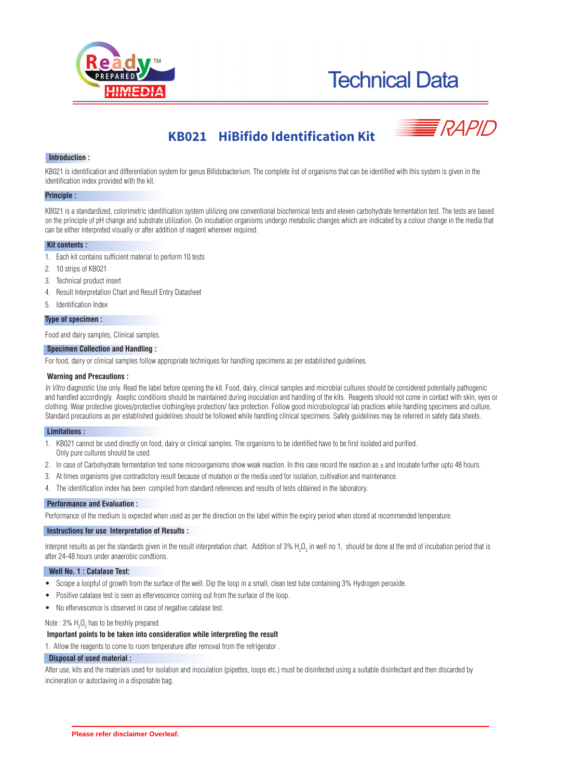



# **KB021 HiBifido Identification Kit**



# **Introduction :**

KB021 is identification and differentiation system for genus Bifidobacterium. The complete list of organisms that can be identified with this system is given in the identification index provided with the kit.

#### **Principle :**

KB021 is a standardized, colorimetric identification system utilizing one conventional biochemical tests and eleven carbohydrate fermentation test. The tests are based on the principle of pH change and substrate utilization. On incubation organisms undergo metabolic changes which are indicated by a colour change in the media that can be either interpreted visually or after addition of reagent wherever required.

#### **Kit contents :**

- 1. Each kit contains sufficient material to perform 10 tests
- 2. 10 strips of KB021
- 3. Technical product insert
- 4. Result Interpretation Chart and Result Entry Datasheet
- 5. Identification Index

#### **Type of specimen :**

Food and dairy samples, Clinical samples.

# **Specimen Collection and Handling :**

For food, dairy or clinical samples follow appropriate techniques for handling specimens as per established guidelines.

#### **Warning and Precautions :**

In Vitro diagnostic Use only. Read the label before opening the kit. Food, dairy, clinical samples and microbial cultures should be considered potentially pathogenic and handled accordingly. Aseptic conditions should be maintained during inoculation and handling of the kits. Reagents should not come in contact with skin, eyes or clothing. Wear protective gloves/protective clothing/eye protection/ face protection. Follow good microbiological lab practices while handling specimens and culture. Standard precautions as per established guidelines should be followed while handling clinical specimens. Safety guidelines may be referred in safety data sheets.

#### **Limitations :**

- 1. KB021 cannot be used directly on food, dairy or clinical samples. The organisms to be identified have to be first isolated and purified.
- Only pure cultures should be used.
- 2. In case of Carbohydrate fermentation test some microorganisms show weak reaction. In this case record the reaction as  $\pm$  and incubate further upto 48 hours.
- 3. At times organisms give contradictory result because of mutation or the media used for isolation, cultivation and maintenance.
- 4. The identification index has been compiled from standard references and results of tests obtained in the laboratory.

#### **Performance and Evaluation :**

Performance of the medium is expected when used as per the direction on the label within the expiry period when stored at recommended temperature.

#### **Instructions for use Interpretation of Results :**

Interpret results as per the standards given in the result interpretation chart. Addition of 3% H<sub>2</sub>O<sub>2</sub> in well no 1, should be done at the end of incubation period that is after 24-48 hours under anaerobic condtions.

# **Well No. 1 : Catalase Test:**

- · Scrape a loopful of growth from the surface of the well. Dip the loop in a small, clean test tube containing 3% Hydrogen peroxide.
- Positive catalase test is seen as effervescence coming out from the surface of the loop.
- · No effervescence is observed in case of negative catalase test.

Note : 3%  $H_2O_2$  has to be freshly prepared

# **Important points to be taken into consideration while interpreting the result**

1. Allow the reagents to come to room temperature after removal from the refrigerator .

#### **Disposal of used material :**

After use, kits and the materials used for isolation and inoculation (pipettes, loops etc.) must be disinfected using a suitable disinfectant and then discarded by incineration or autoclaving in a disposable bag.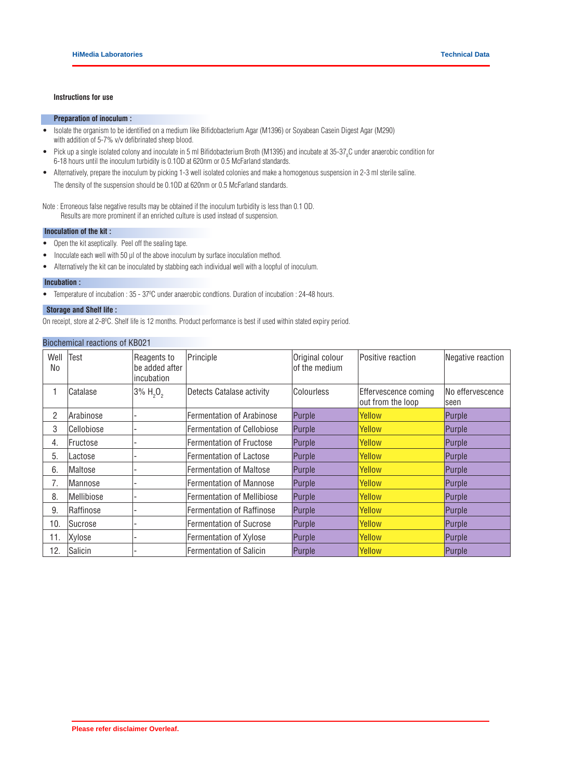### **Instructions for use**

# **Preparation of inoculum :**

- · Isolate the organism to be identified on a medium like Bifidobacterium Agar (M1396) or Soyabean Casein Digest Agar (M290) with addition of 5-7% v/v defibrinated sheep blood.
- Pick up a single isolated colony and inoculate in 5 ml Bifidobacterium Broth (M1395) and incubate at 35-37<sub>0</sub>C under anaerobic condition for 6-18 hours until the inoculum turbidity is 0.1OD at 620nm or 0.5 McFarland standards.
- · Alternatively, prepare the inoculum by picking 1-3 well isolated colonies and make a homogenous suspension in 2-3 ml sterile saline. The density of the suspension should be 0.1OD at 620nm or 0.5 McFarland standards.

Note : Erroneous false negative results may be obtained if the inoculum turbidity is less than 0.1 OD. Results are more prominent if an enriched culture is used instead of suspension.

# **Inoculation of the kit :**

- · Open the kit aseptically. Peel off the sealing tape.
- Inoculate each well with 50 µl of the above inoculum by surface inoculation method.
- · Alternatively the kit can be inoculated by stabbing each individual well with a loopful of inoculum.

#### **Incubation :**

• Temperature of incubation : 35 - 37°C under anaerobic condtions. Duration of incubation : 24-48 hours.

# **Storage and Shelf life :**

On receipt, store at 2-8<sup>o</sup>C. Shelf life is 12 months. Product performance is best if used within stated expiry period.

# Biochemical reactions of KB021

| Well<br>No | Test           | Reagents to<br>be added after<br>incubation | Principle                         | Original colour<br>of the medium | Positive reaction                         | Negative reaction        |
|------------|----------------|---------------------------------------------|-----------------------------------|----------------------------------|-------------------------------------------|--------------------------|
|            | Catalase       | $3\% H_{2}O_{2}$                            | Detects Catalase activity         | Colourless                       | Effervescence coming<br>out from the loop | No effervescence<br>seen |
| 2          | Arabinose      |                                             | <b>Fermentation of Arabinose</b>  | Purple                           | Yellow                                    | Purple                   |
| 3          | Cellobiose     |                                             | <b>Fermentation of Cellobiose</b> | Purple                           | Yellow                                    | Purple                   |
| 4.         | Fructose       |                                             | <b>Fermentation of Fructose</b>   | Purple                           | Yellow                                    | Purple                   |
| 5.         | Lactose        |                                             | Fermentation of Lactose           | Purple                           | Yellow                                    | Purple                   |
| 6.         | Maltose        |                                             | <b>Fermentation of Maltose</b>    | Purple                           | Yellow                                    | Purple                   |
| 7.         | Mannose        |                                             | <b>Fermentation of Mannose</b>    | Purple                           | Yellow                                    | Purple                   |
| 8.         | Mellibiose     |                                             | <b>Fermentation of Mellibiose</b> | Purple                           | Yellow                                    | Purple                   |
| 9.         | Raffinose      |                                             | <b>Fermentation of Raffinose</b>  | Purple                           | Yellow                                    | Purple                   |
| 10.        | <b>Sucrose</b> |                                             | <b>Fermentation of Sucrose</b>    | Purple                           | Yellow                                    | Purple                   |
| 11.        | Xylose         |                                             | <b>Fermentation of Xylose</b>     | Purple                           | Yellow                                    | Purple                   |
| 12.        | Salicin        |                                             | Fermentation of Salicin           | Purple                           | Yellow                                    | Purple                   |